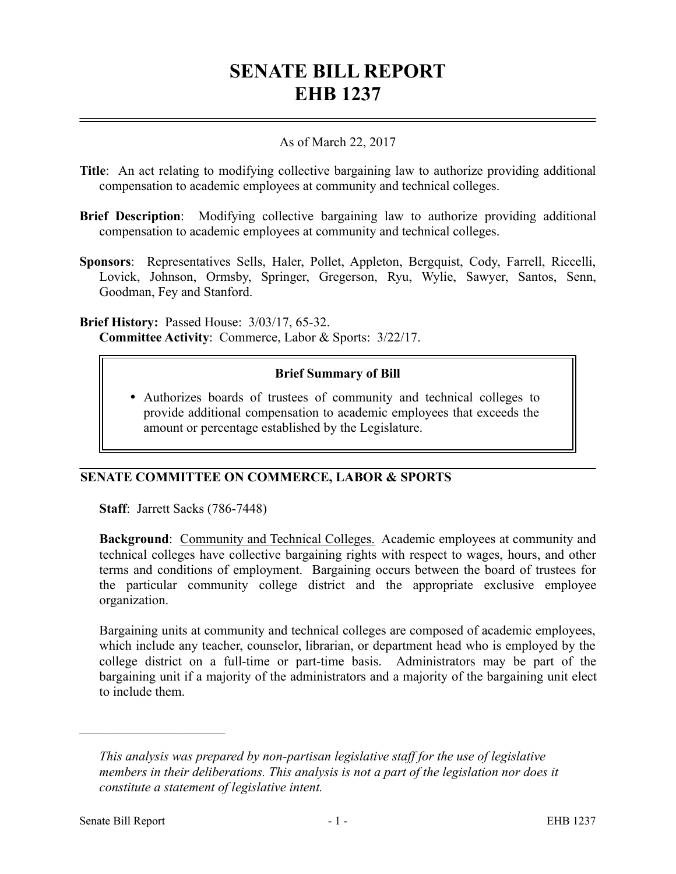# **SENATE BILL REPORT EHB 1237**

### As of March 22, 2017

- **Title**: An act relating to modifying collective bargaining law to authorize providing additional compensation to academic employees at community and technical colleges.
- **Brief Description**: Modifying collective bargaining law to authorize providing additional compensation to academic employees at community and technical colleges.
- **Sponsors**: Representatives Sells, Haler, Pollet, Appleton, Bergquist, Cody, Farrell, Riccelli, Lovick, Johnson, Ormsby, Springer, Gregerson, Ryu, Wylie, Sawyer, Santos, Senn, Goodman, Fey and Stanford.

**Brief History:** Passed House: 3/03/17, 65-32. **Committee Activity**: Commerce, Labor & Sports: 3/22/17.

## **Brief Summary of Bill**

 Authorizes boards of trustees of community and technical colleges to provide additional compensation to academic employees that exceeds the amount or percentage established by the Legislature.

## **SENATE COMMITTEE ON COMMERCE, LABOR & SPORTS**

**Staff**: Jarrett Sacks (786-7448)

**Background:** Community and Technical Colleges. Academic employees at community and technical colleges have collective bargaining rights with respect to wages, hours, and other terms and conditions of employment. Bargaining occurs between the board of trustees for the particular community college district and the appropriate exclusive employee organization.

Bargaining units at community and technical colleges are composed of academic employees, which include any teacher, counselor, librarian, or department head who is employed by the college district on a full-time or part-time basis. Administrators may be part of the bargaining unit if a majority of the administrators and a majority of the bargaining unit elect to include them.

––––––––––––––––––––––

*This analysis was prepared by non-partisan legislative staff for the use of legislative members in their deliberations. This analysis is not a part of the legislation nor does it constitute a statement of legislative intent.*